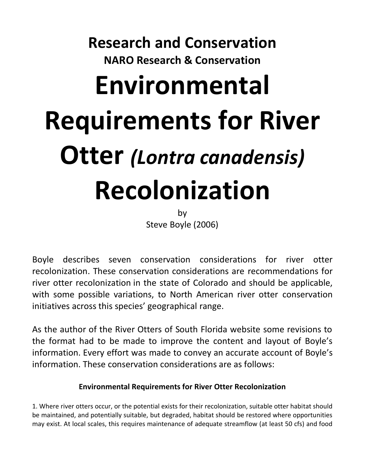## **Research and Conservation NARO Research & Conservation Environmental Requirements for River Otter** *(Lontra canadensis)* **Recolonization**

by Steve Boyle (2006)

Boyle describes seven conservation considerations for river otter recolonization. These conservation considerations are recommendations for river otter recolonization in the state of Colorado and should be applicable, with some possible variations, to North American river otter conservation initiatives across this species' geographical range.

As the author of the River Otters of South Florida website some revisions to the format had to be made to improve the content and layout of Boyle's information. Every effort was made to convey an accurate account of Boyle's information. These conservation considerations are as follows:

## **Environmental Requirements for River Otter Recolonization**

1. Where river otters occur, or the potential exists for their recolonization, suitable otter habitat should be maintained, and potentially suitable, but degraded, habitat should be restored where opportunities may exist. At local scales, this requires maintenance of adequate streamflow (at least 50 cfs) and food